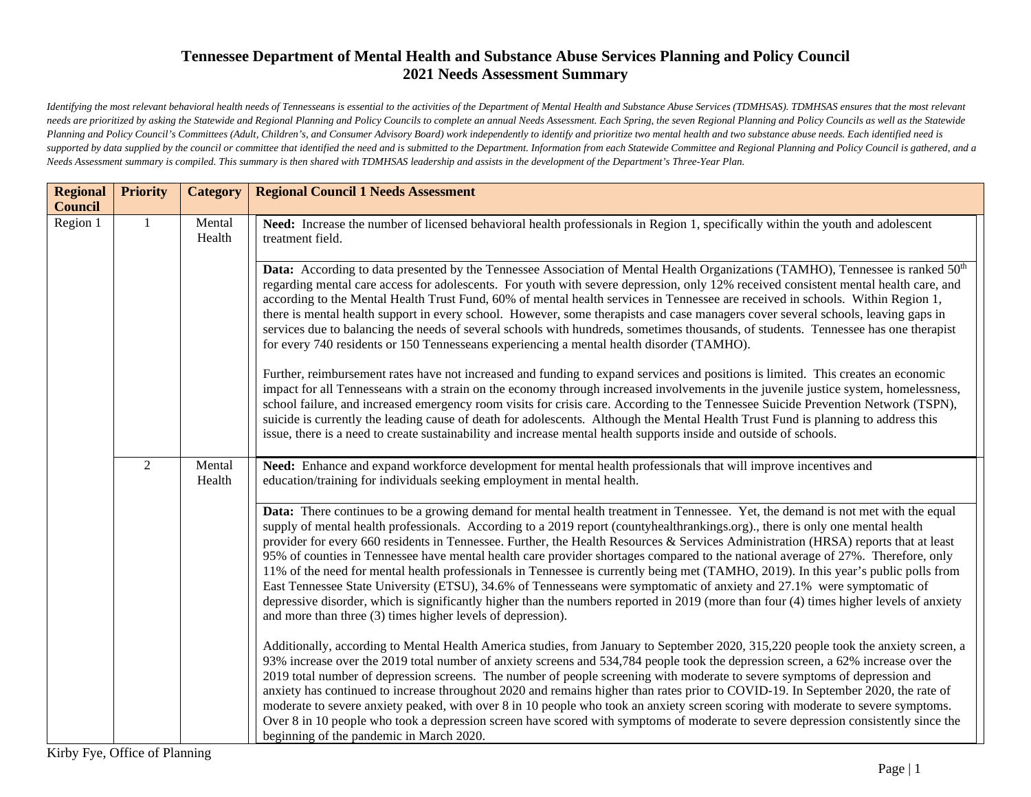*Identifying the most relevant behavioral health needs of Tennesseans is essential to the activities of the Department of Mental Health and Substance Abuse Services (TDMHSAS). TDMHSAS ensures that the most relevant needs are prioritized by asking the Statewide and Regional Planning and Policy Councils to complete an annual Needs Assessment. Each Spring, the seven Regional Planning and Policy Councils as well as the Statewide Planning and Policy Council's Committees (Adult, Children's, and Consumer Advisory Board) work independently to identify and prioritize two mental health and two substance abuse needs. Each identified need is*  supported by data supplied by the council or committee that identified the need and is submitted to the Department. Information from each Statewide Committee and Regional Planning and Policy Council is gathered, and a *Needs Assessment summary is compiled. This summary is then shared with TDMHSAS leadership and assists in the development of the Department's Three-Year Plan.*

| <b>Regional</b><br><b>Council</b> | <b>Priority</b> | <b>Category</b>  | <b>Regional Council 1 Needs Assessment</b>                                                                                                                                                                                                                                                                                                                                                                                                                                                                                                                                                                                                                                                                                                                                                                                                                                                                                                                                                                               |
|-----------------------------------|-----------------|------------------|--------------------------------------------------------------------------------------------------------------------------------------------------------------------------------------------------------------------------------------------------------------------------------------------------------------------------------------------------------------------------------------------------------------------------------------------------------------------------------------------------------------------------------------------------------------------------------------------------------------------------------------------------------------------------------------------------------------------------------------------------------------------------------------------------------------------------------------------------------------------------------------------------------------------------------------------------------------------------------------------------------------------------|
| Region 1                          | $\mathbf{1}$    | Mental<br>Health | Need: Increase the number of licensed behavioral health professionals in Region 1, specifically within the youth and adolescent<br>treatment field.                                                                                                                                                                                                                                                                                                                                                                                                                                                                                                                                                                                                                                                                                                                                                                                                                                                                      |
|                                   |                 |                  | Data: According to data presented by the Tennessee Association of Mental Health Organizations (TAMHO), Tennessee is ranked 50 <sup>th</sup><br>regarding mental care access for adolescents. For youth with severe depression, only 12% received consistent mental health care, and<br>according to the Mental Health Trust Fund, 60% of mental health services in Tennessee are received in schools. Within Region 1,<br>there is mental health support in every school. However, some therapists and case managers cover several schools, leaving gaps in<br>services due to balancing the needs of several schools with hundreds, sometimes thousands, of students. Tennessee has one therapist<br>for every 740 residents or 150 Tennesseans experiencing a mental health disorder (TAMHO).                                                                                                                                                                                                                          |
|                                   |                 |                  | Further, reimbursement rates have not increased and funding to expand services and positions is limited. This creates an economic<br>impact for all Tennesseans with a strain on the economy through increased involvements in the juvenile justice system, homelessness,<br>school failure, and increased emergency room visits for crisis care. According to the Tennessee Suicide Prevention Network (TSPN),<br>suicide is currently the leading cause of death for adolescents. Although the Mental Health Trust Fund is planning to address this<br>issue, there is a need to create sustainability and increase mental health supports inside and outside of schools.                                                                                                                                                                                                                                                                                                                                              |
|                                   | $\overline{2}$  | Mental<br>Health | Need: Enhance and expand workforce development for mental health professionals that will improve incentives and<br>education/training for individuals seeking employment in mental health.                                                                                                                                                                                                                                                                                                                                                                                                                                                                                                                                                                                                                                                                                                                                                                                                                               |
|                                   |                 |                  | Data: There continues to be a growing demand for mental health treatment in Tennessee. Yet, the demand is not met with the equal<br>supply of mental health professionals. According to a 2019 report (countyhealthrankings.org)., there is only one mental health<br>provider for every 660 residents in Tennessee. Further, the Health Resources & Services Administration (HRSA) reports that at least<br>95% of counties in Tennessee have mental health care provider shortages compared to the national average of 27%. Therefore, only<br>11% of the need for mental health professionals in Tennessee is currently being met (TAMHO, 2019). In this year's public polls from<br>East Tennessee State University (ETSU), 34.6% of Tennesseans were symptomatic of anxiety and 27.1% were symptomatic of<br>depressive disorder, which is significantly higher than the numbers reported in 2019 (more than four (4) times higher levels of anxiety<br>and more than three (3) times higher levels of depression). |
|                                   |                 |                  | Additionally, according to Mental Health America studies, from January to September 2020, 315,220 people took the anxiety screen, a<br>93% increase over the 2019 total number of anxiety screens and 534,784 people took the depression screen, a 62% increase over the<br>2019 total number of depression screens. The number of people screening with moderate to severe symptoms of depression and<br>anxiety has continued to increase throughout 2020 and remains higher than rates prior to COVID-19. In September 2020, the rate of<br>moderate to severe anxiety peaked, with over 8 in 10 people who took an anxiety screen scoring with moderate to severe symptoms.<br>Over 8 in 10 people who took a depression screen have scored with symptoms of moderate to severe depression consistently since the<br>beginning of the pandemic in March 2020.                                                                                                                                                        |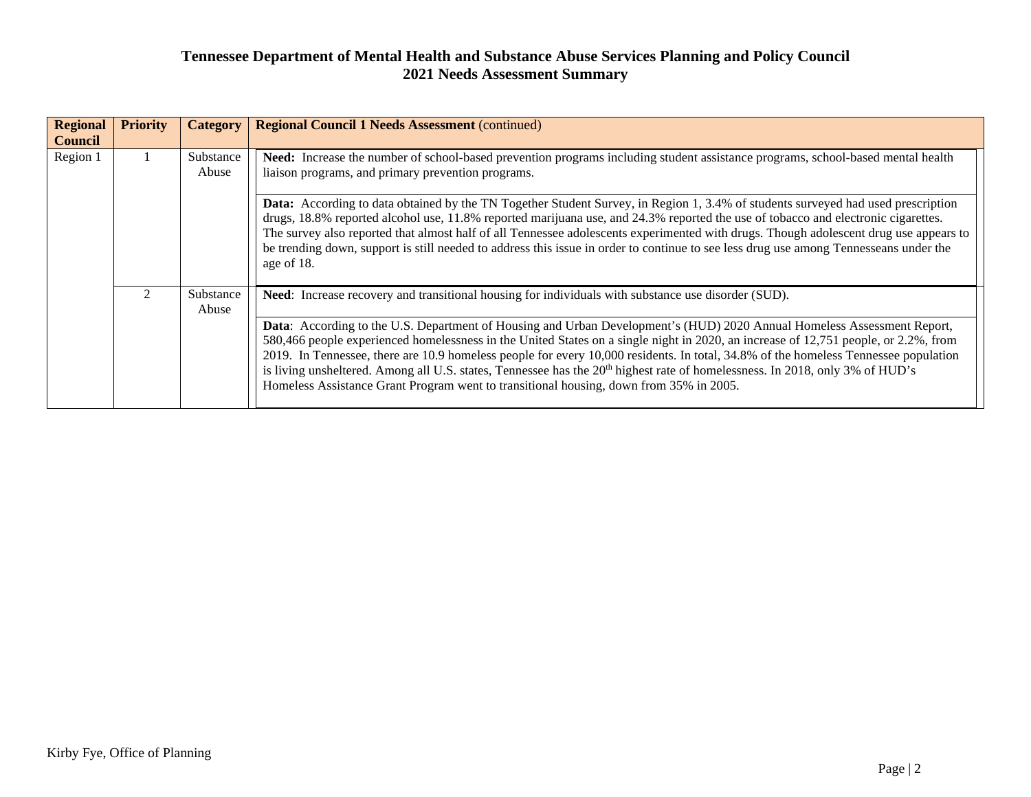| <b>Regional</b><br><b>Council</b> | <b>Priority</b> | <b>Category</b>    | <b>Regional Council 1 Needs Assessment (continued)</b>                                                                                                                                                                                                                                                                                                                                                                                                                                                                                                                                                                                                                                                                                                                |
|-----------------------------------|-----------------|--------------------|-----------------------------------------------------------------------------------------------------------------------------------------------------------------------------------------------------------------------------------------------------------------------------------------------------------------------------------------------------------------------------------------------------------------------------------------------------------------------------------------------------------------------------------------------------------------------------------------------------------------------------------------------------------------------------------------------------------------------------------------------------------------------|
| Region 1                          |                 | Substance<br>Abuse | Need: Increase the number of school-based prevention programs including student assistance programs, school-based mental health<br>liaison programs, and primary prevention programs.<br><b>Data:</b> According to data obtained by the TN Together Student Survey, in Region 1, 3.4% of students surveyed had used prescription<br>drugs, 18.8% reported alcohol use, 11.8% reported marijuana use, and 24.3% reported the use of tobacco and electronic cigarettes.<br>The survey also reported that almost half of all Tennessee adolescents experimented with drugs. Though adolescent drug use appears to<br>be trending down, support is still needed to address this issue in order to continue to see less drug use among Tennesseans under the<br>age of 18. |
|                                   |                 | Substance<br>Abuse | Need: Increase recovery and transitional housing for individuals with substance use disorder (SUD).<br>Data: According to the U.S. Department of Housing and Urban Development's (HUD) 2020 Annual Homeless Assessment Report,<br>580,466 people experienced homelessness in the United States on a single night in 2020, an increase of 12,751 people, or 2.2%, from<br>2019. In Tennessee, there are 10.9 homeless people for every 10,000 residents. In total, 34.8% of the homeless Tennessee population<br>is living unsheltered. Among all U.S. states, Tennessee has the 20 <sup>th</sup> highest rate of homelessness. In 2018, only 3% of HUD's<br>Homeless Assistance Grant Program went to transitional housing, down from 35% in 2005.                    |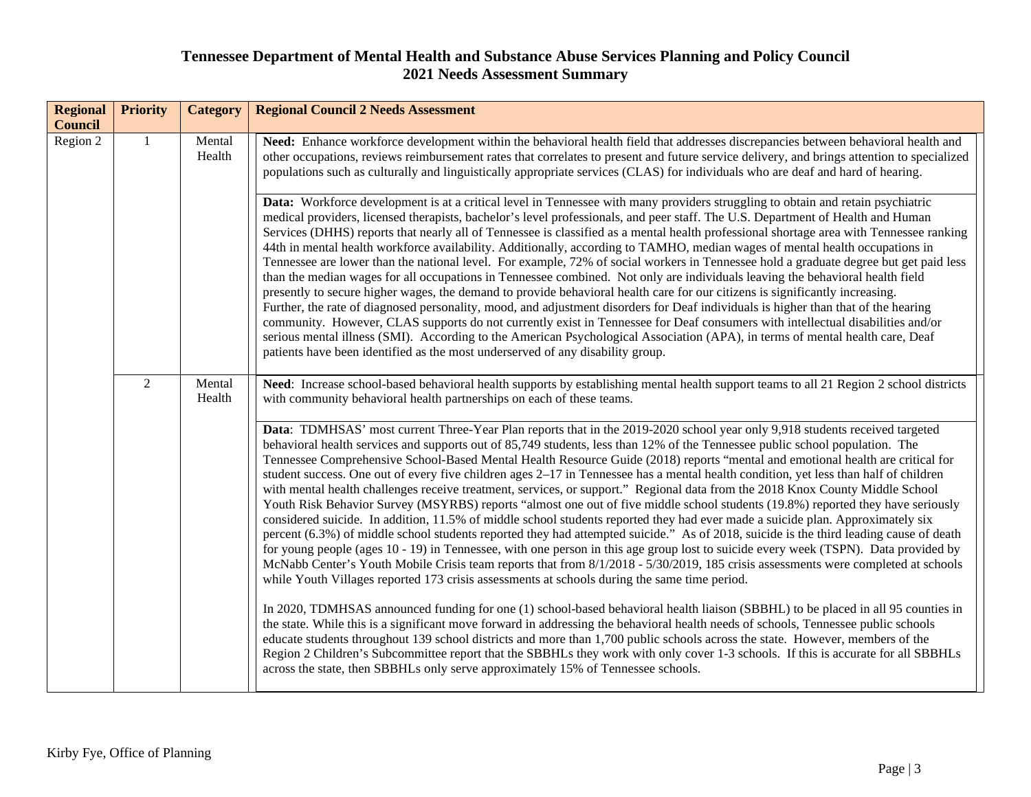| <b>Regional</b><br><b>Council</b> | <b>Priority</b> | <b>Category</b>  | <b>Regional Council 2 Needs Assessment</b>                                                                                                                                                                                                                                                                                                                                                                                                                                                                                                                                                                                                                                                                                                                                                                                                                                                                                                                                                                                                                                                                                                                                                                                                                                                                                                                                                                                                                          |
|-----------------------------------|-----------------|------------------|---------------------------------------------------------------------------------------------------------------------------------------------------------------------------------------------------------------------------------------------------------------------------------------------------------------------------------------------------------------------------------------------------------------------------------------------------------------------------------------------------------------------------------------------------------------------------------------------------------------------------------------------------------------------------------------------------------------------------------------------------------------------------------------------------------------------------------------------------------------------------------------------------------------------------------------------------------------------------------------------------------------------------------------------------------------------------------------------------------------------------------------------------------------------------------------------------------------------------------------------------------------------------------------------------------------------------------------------------------------------------------------------------------------------------------------------------------------------|
| Region 2                          |                 | Mental<br>Health | Need: Enhance workforce development within the behavioral health field that addresses discrepancies between behavioral health and<br>other occupations, reviews reimbursement rates that correlates to present and future service delivery, and brings attention to specialized<br>populations such as culturally and linguistically appropriate services (CLAS) for individuals who are deaf and hard of hearing.                                                                                                                                                                                                                                                                                                                                                                                                                                                                                                                                                                                                                                                                                                                                                                                                                                                                                                                                                                                                                                                  |
|                                   |                 |                  | Data: Workforce development is at a critical level in Tennessee with many providers struggling to obtain and retain psychiatric<br>medical providers, licensed therapists, bachelor's level professionals, and peer staff. The U.S. Department of Health and Human<br>Services (DHHS) reports that nearly all of Tennessee is classified as a mental health professional shortage area with Tennessee ranking<br>44th in mental health workforce availability. Additionally, according to TAMHO, median wages of mental health occupations in<br>Tennessee are lower than the national level. For example, 72% of social workers in Tennessee hold a graduate degree but get paid less<br>than the median wages for all occupations in Tennessee combined. Not only are individuals leaving the behavioral health field<br>presently to secure higher wages, the demand to provide behavioral health care for our citizens is significantly increasing.<br>Further, the rate of diagnosed personality, mood, and adjustment disorders for Deaf individuals is higher than that of the hearing<br>community. However, CLAS supports do not currently exist in Tennessee for Deaf consumers with intellectual disabilities and/or<br>serious mental illness (SMI). According to the American Psychological Association (APA), in terms of mental health care, Deaf<br>patients have been identified as the most underserved of any disability group.                  |
|                                   | $\overline{2}$  | Mental<br>Health | Need: Increase school-based behavioral health supports by establishing mental health support teams to all 21 Region 2 school districts<br>with community behavioral health partnerships on each of these teams.                                                                                                                                                                                                                                                                                                                                                                                                                                                                                                                                                                                                                                                                                                                                                                                                                                                                                                                                                                                                                                                                                                                                                                                                                                                     |
|                                   |                 |                  | Data: TDMHSAS' most current Three-Year Plan reports that in the 2019-2020 school year only 9,918 students received targeted<br>behavioral health services and supports out of 85,749 students, less than 12% of the Tennessee public school population. The<br>Tennessee Comprehensive School-Based Mental Health Resource Guide (2018) reports "mental and emotional health are critical for<br>student success. One out of every five children ages $2-17$ in Tennessee has a mental health condition, yet less than half of children<br>with mental health challenges receive treatment, services, or support." Regional data from the 2018 Knox County Middle School<br>Youth Risk Behavior Survey (MSYRBS) reports "almost one out of five middle school students (19.8%) reported they have seriously<br>considered suicide. In addition, 11.5% of middle school students reported they had ever made a suicide plan. Approximately six<br>percent (6.3%) of middle school students reported they had attempted suicide." As of 2018, suicide is the third leading cause of death<br>for young people (ages 10 - 19) in Tennessee, with one person in this age group lost to suicide every week (TSPN). Data provided by<br>McNabb Center's Youth Mobile Crisis team reports that from 8/1/2018 - 5/30/2019, 185 crisis assessments were completed at schools<br>while Youth Villages reported 173 crisis assessments at schools during the same time period. |
|                                   |                 |                  | In 2020, TDMHSAS announced funding for one (1) school-based behavioral health liaison (SBBHL) to be placed in all 95 counties in<br>the state. While this is a significant move forward in addressing the behavioral health needs of schools, Tennessee public schools<br>educate students throughout 139 school districts and more than 1,700 public schools across the state. However, members of the<br>Region 2 Children's Subcommittee report that the SBBHLs they work with only cover 1-3 schools. If this is accurate for all SBBHLs<br>across the state, then SBBHLs only serve approximately 15% of Tennessee schools.                                                                                                                                                                                                                                                                                                                                                                                                                                                                                                                                                                                                                                                                                                                                                                                                                                    |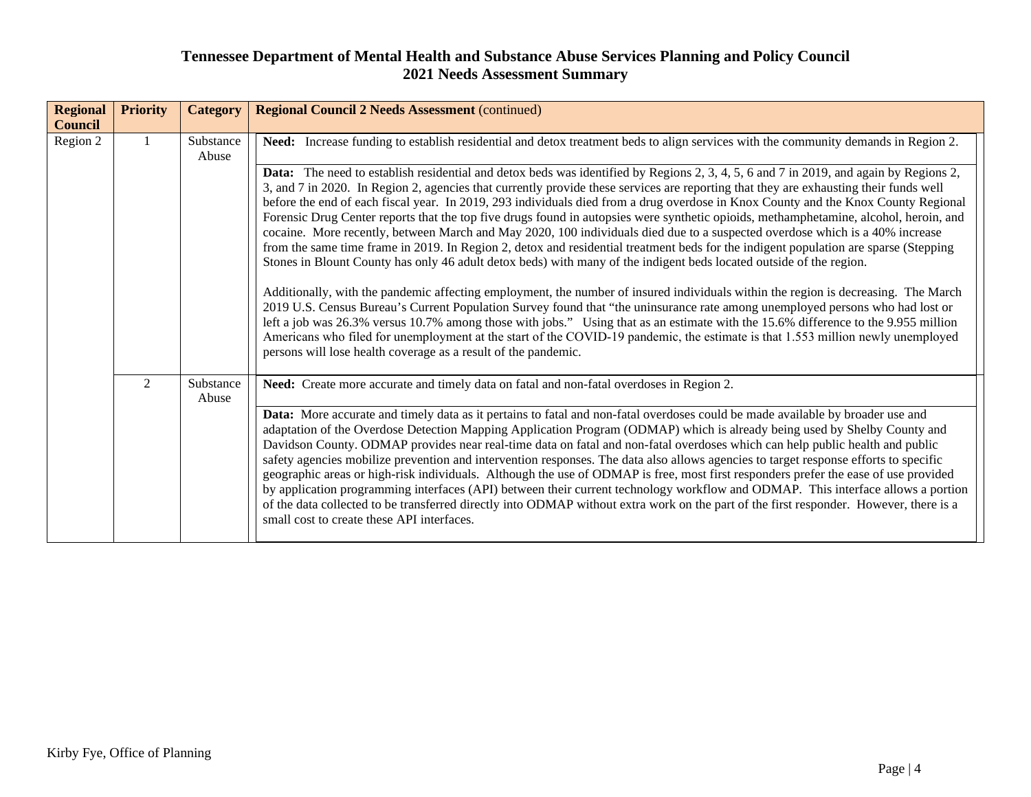| <b>Regional</b><br><b>Council</b> | <b>Priority</b> | <b>Category</b>    | <b>Regional Council 2 Needs Assessment (continued)</b>                                                                                                                                                                                                                                                                                                                                                                                                                                                                                                                                                                                                                                                                                                                                                                                                                                                                                                                                                                                                                                                                                                                                                                                                                                                                                                                                                                                                                                                                                                                                                                                                                                                               |
|-----------------------------------|-----------------|--------------------|----------------------------------------------------------------------------------------------------------------------------------------------------------------------------------------------------------------------------------------------------------------------------------------------------------------------------------------------------------------------------------------------------------------------------------------------------------------------------------------------------------------------------------------------------------------------------------------------------------------------------------------------------------------------------------------------------------------------------------------------------------------------------------------------------------------------------------------------------------------------------------------------------------------------------------------------------------------------------------------------------------------------------------------------------------------------------------------------------------------------------------------------------------------------------------------------------------------------------------------------------------------------------------------------------------------------------------------------------------------------------------------------------------------------------------------------------------------------------------------------------------------------------------------------------------------------------------------------------------------------------------------------------------------------------------------------------------------------|
| Region 2                          |                 | Substance<br>Abuse | Need: Increase funding to establish residential and detox treatment beds to align services with the community demands in Region 2.<br>Data: The need to establish residential and detox beds was identified by Regions 2, 3, 4, 5, 6 and 7 in 2019, and again by Regions 2,<br>3, and 7 in 2020. In Region 2, agencies that currently provide these services are reporting that they are exhausting their funds well<br>before the end of each fiscal year. In 2019, 293 individuals died from a drug overdose in Knox County and the Knox County Regional<br>Forensic Drug Center reports that the top five drugs found in autopsies were synthetic opioids, methamphetamine, alcohol, heroin, and<br>cocaine. More recently, between March and May 2020, 100 individuals died due to a suspected overdose which is a 40% increase<br>from the same time frame in 2019. In Region 2, detox and residential treatment beds for the indigent population are sparse (Stepping<br>Stones in Blount County has only 46 adult detox beds) with many of the indigent beds located outside of the region.<br>Additionally, with the pandemic affecting employment, the number of insured individuals within the region is decreasing. The March<br>2019 U.S. Census Bureau's Current Population Survey found that "the uninsurance rate among unemployed persons who had lost or<br>left a job was 26.3% versus 10.7% among those with jobs." Using that as an estimate with the 15.6% difference to the 9.955 million<br>Americans who filed for unemployment at the start of the COVID-19 pandemic, the estimate is that 1.553 million newly unemployed<br>persons will lose health coverage as a result of the pandemic. |
|                                   | $\overline{2}$  | Substance<br>Abuse | Need: Create more accurate and timely data on fatal and non-fatal overdoses in Region 2.<br>Data: More accurate and timely data as it pertains to fatal and non-fatal overdoses could be made available by broader use and<br>adaptation of the Overdose Detection Mapping Application Program (ODMAP) which is already being used by Shelby County and<br>Davidson County. ODMAP provides near real-time data on fatal and non-fatal overdoses which can help public health and public<br>safety agencies mobilize prevention and intervention responses. The data also allows agencies to target response efforts to specific<br>geographic areas or high-risk individuals. Although the use of ODMAP is free, most first responders prefer the ease of use provided<br>by application programming interfaces (API) between their current technology workflow and ODMAP. This interface allows a portion<br>of the data collected to be transferred directly into ODMAP without extra work on the part of the first responder. However, there is a<br>small cost to create these API interfaces.                                                                                                                                                                                                                                                                                                                                                                                                                                                                                                                                                                                                                   |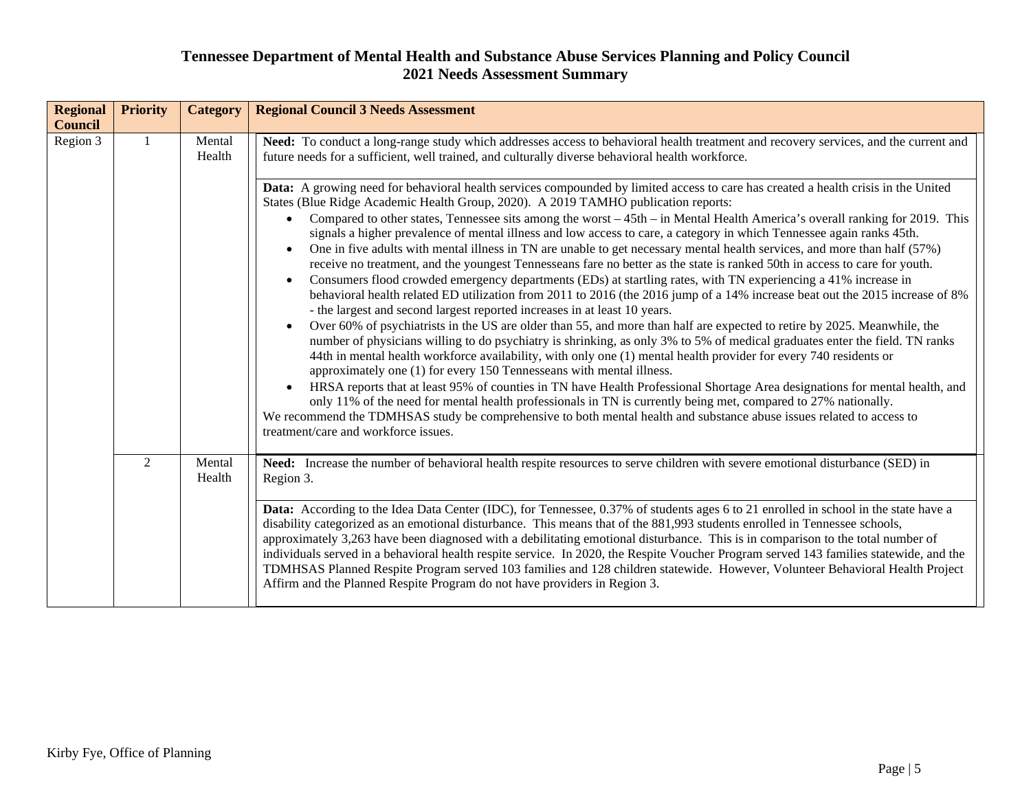| <b>Regional</b> | <b>Priority</b> | <b>Category</b>  | <b>Regional Council 3 Needs Assessment</b>                                                                                                                                                                                                                                                                                                                                                                                                                                                                                                                                                                                                                                                                                                                                                                                                                                                                                                                                    |
|-----------------|-----------------|------------------|-------------------------------------------------------------------------------------------------------------------------------------------------------------------------------------------------------------------------------------------------------------------------------------------------------------------------------------------------------------------------------------------------------------------------------------------------------------------------------------------------------------------------------------------------------------------------------------------------------------------------------------------------------------------------------------------------------------------------------------------------------------------------------------------------------------------------------------------------------------------------------------------------------------------------------------------------------------------------------|
| <b>Council</b>  |                 |                  |                                                                                                                                                                                                                                                                                                                                                                                                                                                                                                                                                                                                                                                                                                                                                                                                                                                                                                                                                                               |
| Region 3        |                 | Mental<br>Health | Need: To conduct a long-range study which addresses access to behavioral health treatment and recovery services, and the current and<br>future needs for a sufficient, well trained, and culturally diverse behavioral health workforce.<br>Data: A growing need for behavioral health services compounded by limited access to care has created a health crisis in the United                                                                                                                                                                                                                                                                                                                                                                                                                                                                                                                                                                                                |
|                 |                 |                  | States (Blue Ridge Academic Health Group, 2020). A 2019 TAMHO publication reports:<br>Compared to other states, Tennessee sits among the worst – 45th – in Mental Health America's overall ranking for 2019. This<br>signals a higher prevalence of mental illness and low access to care, a category in which Tennessee again ranks 45th.<br>One in five adults with mental illness in TN are unable to get necessary mental health services, and more than half (57%)<br>receive no treatment, and the youngest Tennesseans fare no better as the state is ranked 50th in access to care for youth.<br>Consumers flood crowded emergency departments (EDs) at startling rates, with TN experiencing a 41% increase in<br>behavioral health related ED utilization from 2011 to 2016 (the 2016 jump of a 14% increase beat out the 2015 increase of 8%                                                                                                                       |
|                 |                 |                  | - the largest and second largest reported increases in at least 10 years.<br>Over 60% of psychiatrists in the US are older than 55, and more than half are expected to retire by 2025. Meanwhile, the<br>$\bullet$<br>number of physicians willing to do psychiatry is shrinking, as only 3% to 5% of medical graduates enter the field. TN ranks<br>44th in mental health workforce availability, with only one (1) mental health provider for every 740 residents or<br>approximately one (1) for every 150 Tennesseans with mental illness.<br>HRSA reports that at least 95% of counties in TN have Health Professional Shortage Area designations for mental health, and<br>$\bullet$<br>only 11% of the need for mental health professionals in TN is currently being met, compared to 27% nationally.<br>We recommend the TDMHSAS study be comprehensive to both mental health and substance abuse issues related to access to<br>treatment/care and workforce issues. |
|                 | $\overline{2}$  | Mental<br>Health | Need: Increase the number of behavioral health respite resources to serve children with severe emotional disturbance (SED) in<br>Region 3.                                                                                                                                                                                                                                                                                                                                                                                                                                                                                                                                                                                                                                                                                                                                                                                                                                    |
|                 |                 |                  | Data: According to the Idea Data Center (IDC), for Tennessee, 0.37% of students ages 6 to 21 enrolled in school in the state have a<br>disability categorized as an emotional disturbance. This means that of the 881,993 students enrolled in Tennessee schools,<br>approximately 3,263 have been diagnosed with a debilitating emotional disturbance. This is in comparison to the total number of<br>individuals served in a behavioral health respite service. In 2020, the Respite Voucher Program served 143 families statewide, and the<br>TDMHSAS Planned Respite Program served 103 families and 128 children statewide. However, Volunteer Behavioral Health Project<br>Affirm and the Planned Respite Program do not have providers in Region 3.                                                                                                                                                                                                                   |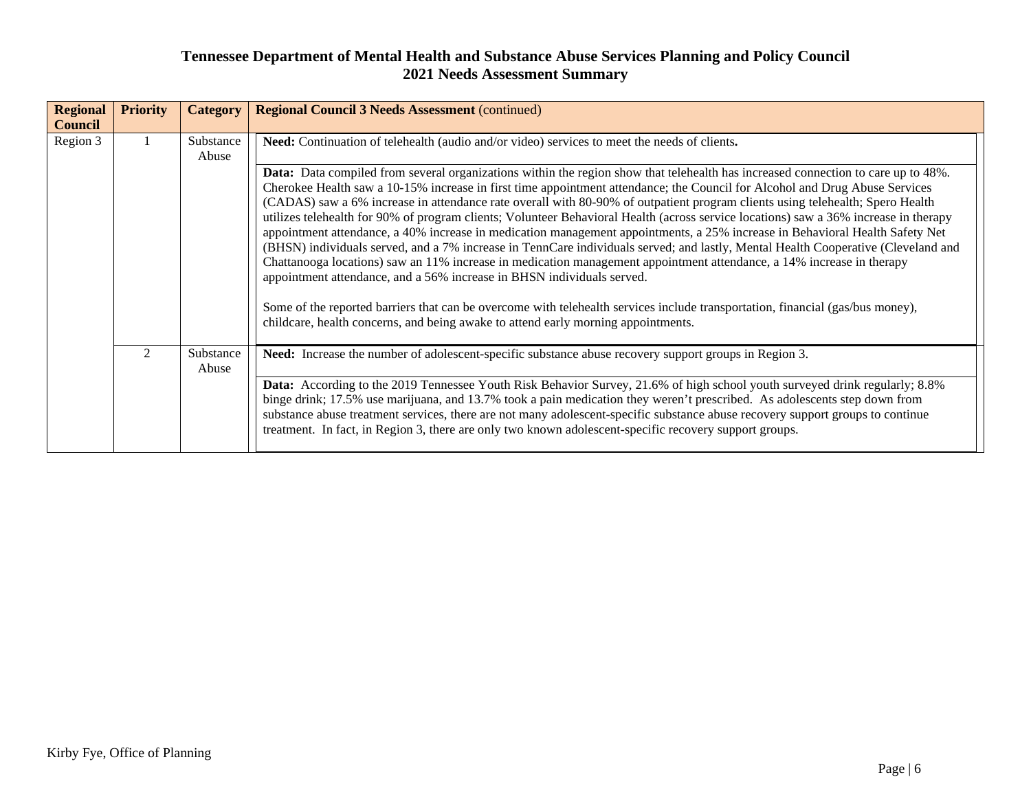| <b>Regional</b><br><b>Council</b> | <b>Priority</b>             | <b>Category</b>    | <b>Regional Council 3 Needs Assessment (continued)</b>                                                                                                                                                                                                                                                                                                                                                                                                                                                                                                                                                                                                                                      |
|-----------------------------------|-----------------------------|--------------------|---------------------------------------------------------------------------------------------------------------------------------------------------------------------------------------------------------------------------------------------------------------------------------------------------------------------------------------------------------------------------------------------------------------------------------------------------------------------------------------------------------------------------------------------------------------------------------------------------------------------------------------------------------------------------------------------|
| Region 3                          |                             | Substance<br>Abuse | Need: Continuation of telehealth (audio and/or video) services to meet the needs of clients.<br>Data: Data compiled from several organizations within the region show that telehealth has increased connection to care up to 48%.<br>Cherokee Health saw a 10-15% increase in first time appointment attendance; the Council for Alcohol and Drug Abuse Services<br>(CADAS) saw a 6% increase in attendance rate overall with 80-90% of outpatient program clients using telehealth; Spero Health<br>utilizes telehealth for 90% of program clients; Volunteer Behavioral Health (across service locations) saw a 36% increase in therapy                                                   |
|                                   |                             |                    | appointment attendance, a 40% increase in medication management appointments, a 25% increase in Behavioral Health Safety Net<br>(BHSN) individuals served, and a 7% increase in TennCare individuals served; and lastly, Mental Health Cooperative (Cleveland and<br>Chattanooga locations) saw an 11% increase in medication management appointment attendance, a 14% increase in therapy<br>appointment attendance, and a 56% increase in BHSN individuals served.<br>Some of the reported barriers that can be overcome with telehealth services include transportation, financial (gas/bus money),<br>childcare, health concerns, and being awake to attend early morning appointments. |
|                                   | $\mathcal{D}_{\mathcal{L}}$ | Substance<br>Abuse | Need: Increase the number of adolescent-specific substance abuse recovery support groups in Region 3.<br>Data: According to the 2019 Tennessee Youth Risk Behavior Survey, 21.6% of high school youth surveyed drink regularly; 8.8%<br>binge drink; 17.5% use marijuana, and 13.7% took a pain medication they weren't prescribed. As adolescents step down from<br>substance abuse treatment services, there are not many adolescent-specific substance abuse recovery support groups to continue<br>treatment. In fact, in Region 3, there are only two known adolescent-specific recovery support groups.                                                                               |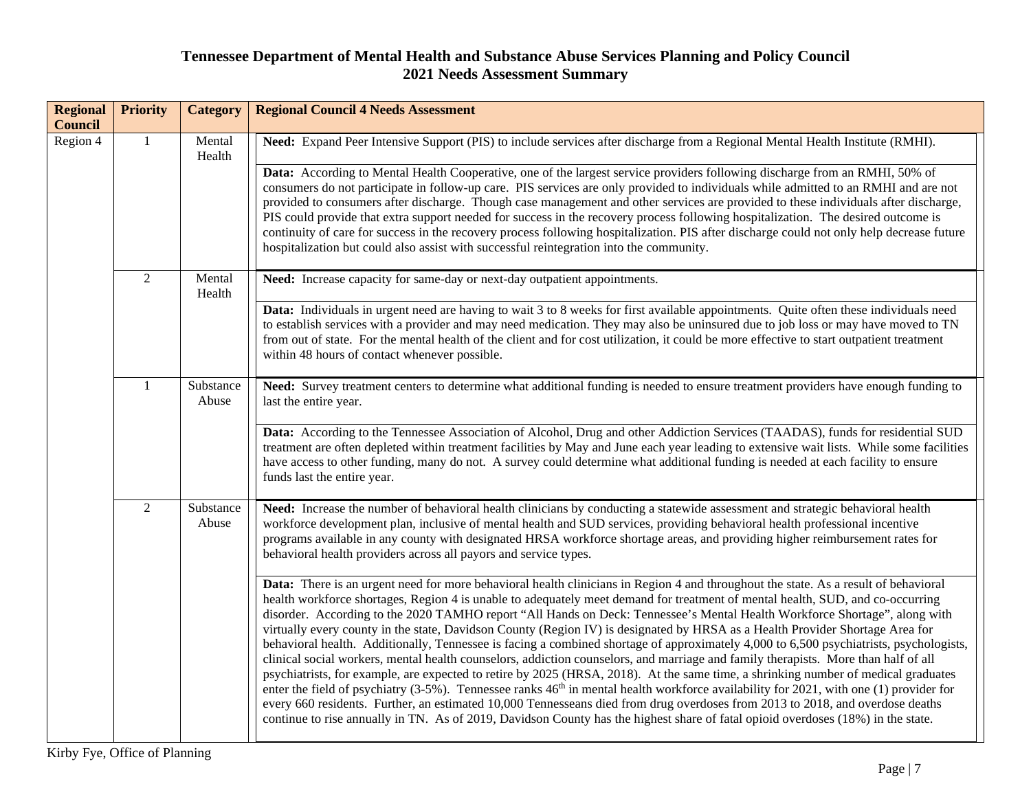| <b>Regional</b><br><b>Council</b> | <b>Priority</b> | <b>Category</b>    | <b>Regional Council 4 Needs Assessment</b>                                                                                                                                                                                                                                                                                                                                                                                                                                                                                                                                                                                                                                                                                                                                                                                                                                                                                                                                                                                                                                                                                                                                                                                                                                                                                                                                            |
|-----------------------------------|-----------------|--------------------|---------------------------------------------------------------------------------------------------------------------------------------------------------------------------------------------------------------------------------------------------------------------------------------------------------------------------------------------------------------------------------------------------------------------------------------------------------------------------------------------------------------------------------------------------------------------------------------------------------------------------------------------------------------------------------------------------------------------------------------------------------------------------------------------------------------------------------------------------------------------------------------------------------------------------------------------------------------------------------------------------------------------------------------------------------------------------------------------------------------------------------------------------------------------------------------------------------------------------------------------------------------------------------------------------------------------------------------------------------------------------------------|
| Region 4                          | $\mathbf{1}$    | Mental<br>Health   | Need: Expand Peer Intensive Support (PIS) to include services after discharge from a Regional Mental Health Institute (RMHI).                                                                                                                                                                                                                                                                                                                                                                                                                                                                                                                                                                                                                                                                                                                                                                                                                                                                                                                                                                                                                                                                                                                                                                                                                                                         |
|                                   |                 |                    | Data: According to Mental Health Cooperative, one of the largest service providers following discharge from an RMHI, 50% of<br>consumers do not participate in follow-up care. PIS services are only provided to individuals while admitted to an RMHI and are not<br>provided to consumers after discharge. Though case management and other services are provided to these individuals after discharge,<br>PIS could provide that extra support needed for success in the recovery process following hospitalization. The desired outcome is<br>continuity of care for success in the recovery process following hospitalization. PIS after discharge could not only help decrease future<br>hospitalization but could also assist with successful reintegration into the community.                                                                                                                                                                                                                                                                                                                                                                                                                                                                                                                                                                                                |
|                                   | $\overline{2}$  | Mental<br>Health   | Need: Increase capacity for same-day or next-day outpatient appointments.                                                                                                                                                                                                                                                                                                                                                                                                                                                                                                                                                                                                                                                                                                                                                                                                                                                                                                                                                                                                                                                                                                                                                                                                                                                                                                             |
|                                   |                 |                    | Data: Individuals in urgent need are having to wait 3 to 8 weeks for first available appointments. Quite often these individuals need<br>to establish services with a provider and may need medication. They may also be uninsured due to job loss or may have moved to TN<br>from out of state. For the mental health of the client and for cost utilization, it could be more effective to start outpatient treatment<br>within 48 hours of contact whenever possible.                                                                                                                                                                                                                                                                                                                                                                                                                                                                                                                                                                                                                                                                                                                                                                                                                                                                                                              |
|                                   | $\mathbf{1}$    | Substance<br>Abuse | Need: Survey treatment centers to determine what additional funding is needed to ensure treatment providers have enough funding to<br>last the entire year.                                                                                                                                                                                                                                                                                                                                                                                                                                                                                                                                                                                                                                                                                                                                                                                                                                                                                                                                                                                                                                                                                                                                                                                                                           |
|                                   |                 |                    | Data: According to the Tennessee Association of Alcohol, Drug and other Addiction Services (TAADAS), funds for residential SUD<br>treatment are often depleted within treatment facilities by May and June each year leading to extensive wait lists. While some facilities<br>have access to other funding, many do not. A survey could determine what additional funding is needed at each facility to ensure<br>funds last the entire year.                                                                                                                                                                                                                                                                                                                                                                                                                                                                                                                                                                                                                                                                                                                                                                                                                                                                                                                                        |
|                                   | $\overline{2}$  | Substance<br>Abuse | Need: Increase the number of behavioral health clinicians by conducting a statewide assessment and strategic behavioral health<br>workforce development plan, inclusive of mental health and SUD services, providing behavioral health professional incentive<br>programs available in any county with designated HRSA workforce shortage areas, and providing higher reimbursement rates for<br>behavioral health providers across all payors and service types.                                                                                                                                                                                                                                                                                                                                                                                                                                                                                                                                                                                                                                                                                                                                                                                                                                                                                                                     |
|                                   |                 |                    | Data: There is an urgent need for more behavioral health clinicians in Region 4 and throughout the state. As a result of behavioral<br>health workforce shortages, Region 4 is unable to adequately meet demand for treatment of mental health, SUD, and co-occurring<br>disorder. According to the 2020 TAMHO report "All Hands on Deck: Tennessee's Mental Health Workforce Shortage", along with<br>virtually every county in the state, Davidson County (Region IV) is designated by HRSA as a Health Provider Shortage Area for<br>behavioral health. Additionally, Tennessee is facing a combined shortage of approximately 4,000 to 6,500 psychiatrists, psychologists,<br>clinical social workers, mental health counselors, addiction counselors, and marriage and family therapists. More than half of all<br>psychiatrists, for example, are expected to retire by 2025 (HRSA, 2018). At the same time, a shrinking number of medical graduates<br>enter the field of psychiatry (3-5%). Tennessee ranks 46 <sup>th</sup> in mental health workforce availability for 2021, with one (1) provider for<br>every 660 residents. Further, an estimated 10,000 Tennesseans died from drug overdoses from 2013 to 2018, and overdose deaths<br>continue to rise annually in TN. As of 2019, Davidson County has the highest share of fatal opioid overdoses (18%) in the state. |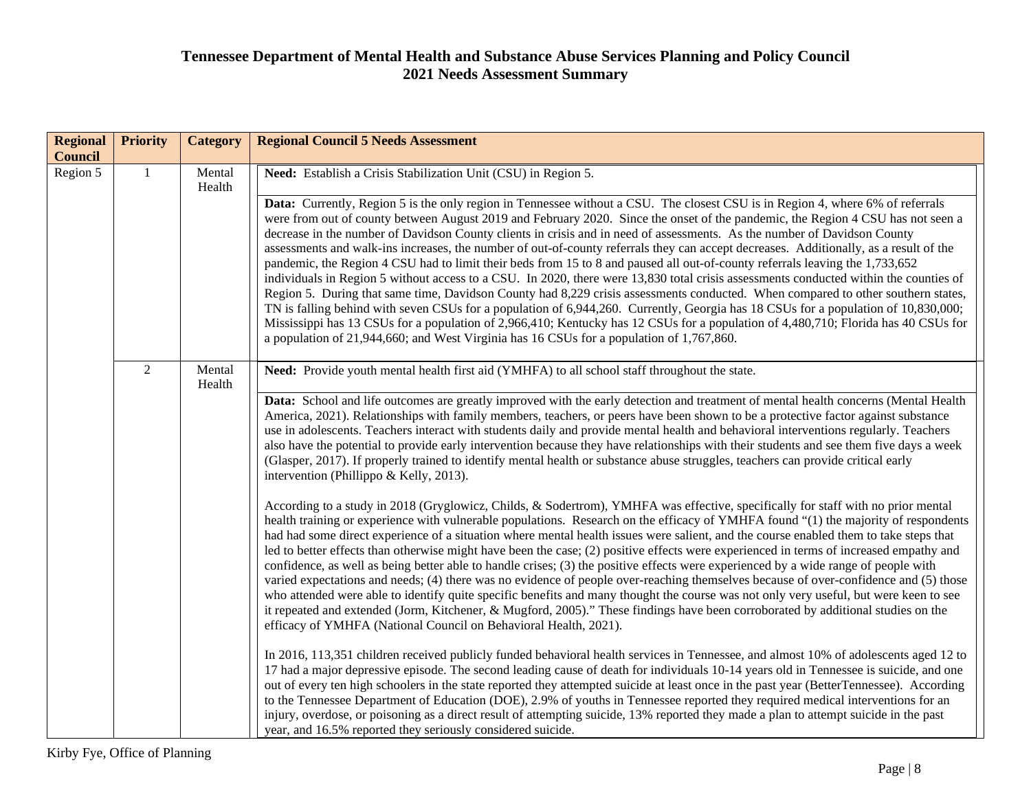| <b>Regional</b><br><b>Council</b> | <b>Priority</b> | <b>Category</b>  | <b>Regional Council 5 Needs Assessment</b>                                                                                                                                                                                                                                                                                                                                                                                                                                                                                                                                                                                                                                                                                                                                                                                                                                                                                                                                                                                                                                                                                                                                                                                                                                                                                  |
|-----------------------------------|-----------------|------------------|-----------------------------------------------------------------------------------------------------------------------------------------------------------------------------------------------------------------------------------------------------------------------------------------------------------------------------------------------------------------------------------------------------------------------------------------------------------------------------------------------------------------------------------------------------------------------------------------------------------------------------------------------------------------------------------------------------------------------------------------------------------------------------------------------------------------------------------------------------------------------------------------------------------------------------------------------------------------------------------------------------------------------------------------------------------------------------------------------------------------------------------------------------------------------------------------------------------------------------------------------------------------------------------------------------------------------------|
| Region 5                          |                 | Mental<br>Health | Need: Establish a Crisis Stabilization Unit (CSU) in Region 5.                                                                                                                                                                                                                                                                                                                                                                                                                                                                                                                                                                                                                                                                                                                                                                                                                                                                                                                                                                                                                                                                                                                                                                                                                                                              |
|                                   |                 |                  | Data: Currently, Region 5 is the only region in Tennessee without a CSU. The closest CSU is in Region 4, where 6% of referrals<br>were from out of county between August 2019 and February 2020. Since the onset of the pandemic, the Region 4 CSU has not seen a<br>decrease in the number of Davidson County clients in crisis and in need of assessments. As the number of Davidson County<br>assessments and walk-ins increases, the number of out-of-county referrals they can accept decreases. Additionally, as a result of the<br>pandemic, the Region 4 CSU had to limit their beds from 15 to 8 and paused all out-of-county referrals leaving the 1,733,652<br>individuals in Region 5 without access to a CSU. In 2020, there were 13,830 total crisis assessments conducted within the counties of<br>Region 5. During that same time, Davidson County had 8,229 crisis assessments conducted. When compared to other southern states,<br>TN is falling behind with seven CSUs for a population of 6,944,260. Currently, Georgia has 18 CSUs for a population of 10,830,000;<br>Mississippi has 13 CSUs for a population of 2,966,410; Kentucky has 12 CSUs for a population of 4,480,710; Florida has 40 CSUs for<br>a population of 21,944,660; and West Virginia has 16 CSUs for a population of 1,767,860. |
|                                   | $\overline{2}$  | Mental<br>Health | Need: Provide youth mental health first aid (YMHFA) to all school staff throughout the state.                                                                                                                                                                                                                                                                                                                                                                                                                                                                                                                                                                                                                                                                                                                                                                                                                                                                                                                                                                                                                                                                                                                                                                                                                               |
|                                   |                 |                  | Data: School and life outcomes are greatly improved with the early detection and treatment of mental health concerns (Mental Health<br>America, 2021). Relationships with family members, teachers, or peers have been shown to be a protective factor against substance<br>use in adolescents. Teachers interact with students daily and provide mental health and behavioral interventions regularly. Teachers<br>also have the potential to provide early intervention because they have relationships with their students and see them five days a week<br>(Glasper, 2017). If properly trained to identify mental health or substance abuse struggles, teachers can provide critical early<br>intervention (Phillippo & Kelly, 2013).                                                                                                                                                                                                                                                                                                                                                                                                                                                                                                                                                                                  |
|                                   |                 |                  | According to a study in 2018 (Gryglowicz, Childs, & Sodertrom), YMHFA was effective, specifically for staff with no prior mental<br>health training or experience with vulnerable populations. Research on the efficacy of YMHFA found "(1) the majority of respondents<br>had had some direct experience of a situation where mental health issues were salient, and the course enabled them to take steps that<br>led to better effects than otherwise might have been the case; (2) positive effects were experienced in terms of increased empathy and<br>confidence, as well as being better able to handle crises; (3) the positive effects were experienced by a wide range of people with<br>varied expectations and needs; (4) there was no evidence of people over-reaching themselves because of over-confidence and (5) those<br>who attended were able to identify quite specific benefits and many thought the course was not only very useful, but were keen to see<br>it repeated and extended (Jorm, Kitchener, & Mugford, 2005)." These findings have been corroborated by additional studies on the<br>efficacy of YMHFA (National Council on Behavioral Health, 2021).                                                                                                                                  |
|                                   |                 |                  | In 2016, 113,351 children received publicly funded behavioral health services in Tennessee, and almost 10% of adolescents aged 12 to<br>17 had a major depressive episode. The second leading cause of death for individuals 10-14 years old in Tennessee is suicide, and one<br>out of every ten high schoolers in the state reported they attempted suicide at least once in the past year (BetterTennessee). According<br>to the Tennessee Department of Education (DOE), 2.9% of youths in Tennessee reported they required medical interventions for an<br>injury, overdose, or poisoning as a direct result of attempting suicide, 13% reported they made a plan to attempt suicide in the past<br>year, and 16.5% reported they seriously considered suicide.                                                                                                                                                                                                                                                                                                                                                                                                                                                                                                                                                        |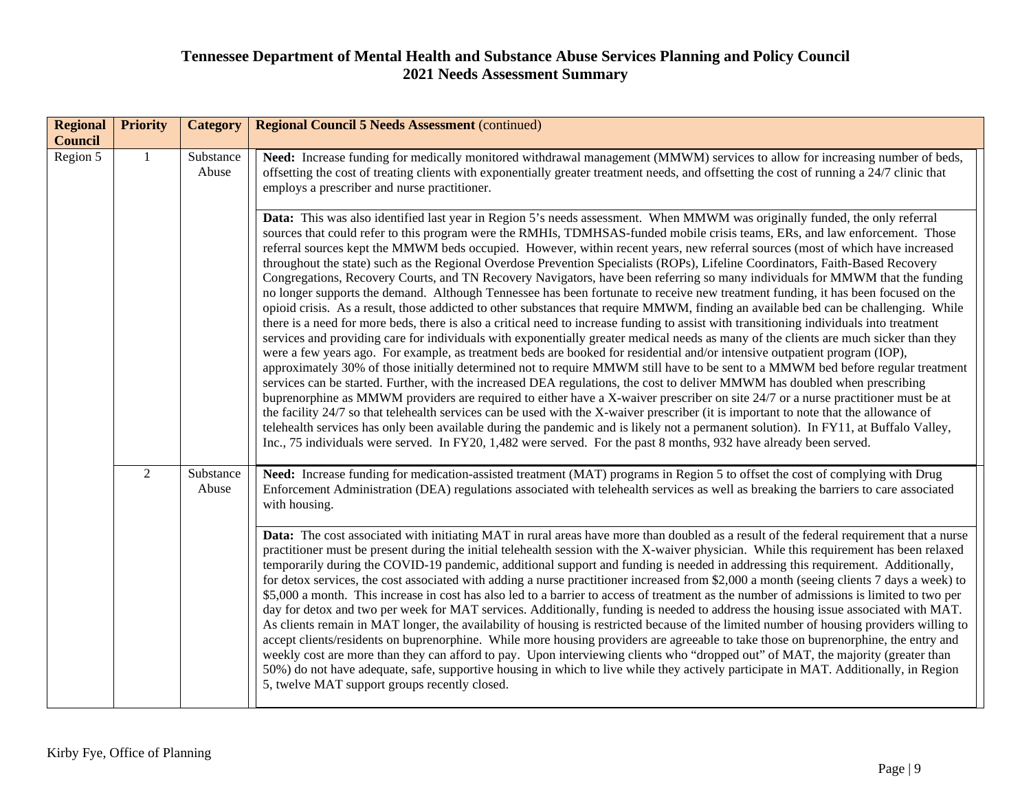| <b>Regional</b><br><b>Council</b> | <b>Priority</b> | <b>Category</b>    | <b>Regional Council 5 Needs Assessment (continued)</b>                                                                                                                                                                                                                                                                                                                                                                                                                                                                                                                                                                                                                                                                                                                                                                                                                                                                                                                                                                                                                                                                                                                                                                                                                                                                                                                                                                                                                                                                                                                                                                                                                                                                                                                                                                                                                                                                                                                                                                                                                                                                                                                          |
|-----------------------------------|-----------------|--------------------|---------------------------------------------------------------------------------------------------------------------------------------------------------------------------------------------------------------------------------------------------------------------------------------------------------------------------------------------------------------------------------------------------------------------------------------------------------------------------------------------------------------------------------------------------------------------------------------------------------------------------------------------------------------------------------------------------------------------------------------------------------------------------------------------------------------------------------------------------------------------------------------------------------------------------------------------------------------------------------------------------------------------------------------------------------------------------------------------------------------------------------------------------------------------------------------------------------------------------------------------------------------------------------------------------------------------------------------------------------------------------------------------------------------------------------------------------------------------------------------------------------------------------------------------------------------------------------------------------------------------------------------------------------------------------------------------------------------------------------------------------------------------------------------------------------------------------------------------------------------------------------------------------------------------------------------------------------------------------------------------------------------------------------------------------------------------------------------------------------------------------------------------------------------------------------|
| Region 5                          |                 | Substance<br>Abuse | Need: Increase funding for medically monitored withdrawal management (MMWM) services to allow for increasing number of beds,<br>offsetting the cost of treating clients with exponentially greater treatment needs, and offsetting the cost of running a 24/7 clinic that<br>employs a prescriber and nurse practitioner.                                                                                                                                                                                                                                                                                                                                                                                                                                                                                                                                                                                                                                                                                                                                                                                                                                                                                                                                                                                                                                                                                                                                                                                                                                                                                                                                                                                                                                                                                                                                                                                                                                                                                                                                                                                                                                                       |
|                                   |                 |                    | Data: This was also identified last year in Region 5's needs assessment. When MMWM was originally funded, the only referral<br>sources that could refer to this program were the RMHIs, TDMHSAS-funded mobile crisis teams, ERs, and law enforcement. Those<br>referral sources kept the MMWM beds occupied. However, within recent years, new referral sources (most of which have increased<br>throughout the state) such as the Regional Overdose Prevention Specialists (ROPs), Lifeline Coordinators, Faith-Based Recovery<br>Congregations, Recovery Courts, and TN Recovery Navigators, have been referring so many individuals for MMWM that the funding<br>no longer supports the demand. Although Tennessee has been fortunate to receive new treatment funding, it has been focused on the<br>opioid crisis. As a result, those addicted to other substances that require MMWM, finding an available bed can be challenging. While<br>there is a need for more beds, there is also a critical need to increase funding to assist with transitioning individuals into treatment<br>services and providing care for individuals with exponentially greater medical needs as many of the clients are much sicker than they<br>were a few years ago. For example, as treatment beds are booked for residential and/or intensive outpatient program (IOP),<br>approximately 30% of those initially determined not to require MMWM still have to be sent to a MMWM bed before regular treatment<br>services can be started. Further, with the increased DEA regulations, the cost to deliver MMWM has doubled when prescribing<br>buprenorphine as MMWM providers are required to either have a X-waiver prescriber on site 24/7 or a nurse practitioner must be at<br>the facility 24/7 so that telehealth services can be used with the X-waiver prescriber (it is important to note that the allowance of<br>telehealth services has only been available during the pandemic and is likely not a permanent solution). In FY11, at Buffalo Valley,<br>Inc., 75 individuals were served. In FY20, 1,482 were served. For the past 8 months, 932 have already been served. |
|                                   | $\overline{2}$  | Substance<br>Abuse | Need: Increase funding for medication-assisted treatment (MAT) programs in Region 5 to offset the cost of complying with Drug<br>Enforcement Administration (DEA) regulations associated with telehealth services as well as breaking the barriers to care associated<br>with housing.<br>Data: The cost associated with initiating MAT in rural areas have more than doubled as a result of the federal requirement that a nurse<br>practitioner must be present during the initial telehealth session with the X-waiver physician. While this requirement has been relaxed<br>temporarily during the COVID-19 pandemic, additional support and funding is needed in addressing this requirement. Additionally,<br>for detox services, the cost associated with adding a nurse practitioner increased from \$2,000 a month (seeing clients 7 days a week) to<br>\$5,000 a month. This increase in cost has also led to a barrier to access of treatment as the number of admissions is limited to two per<br>day for detox and two per week for MAT services. Additionally, funding is needed to address the housing issue associated with MAT.<br>As clients remain in MAT longer, the availability of housing is restricted because of the limited number of housing providers willing to<br>accept clients/residents on buprenorphine. While more housing providers are agreeable to take those on buprenorphine, the entry and<br>weekly cost are more than they can afford to pay. Upon interviewing clients who "dropped out" of MAT, the majority (greater than<br>50%) do not have adequate, safe, supportive housing in which to live while they actively participate in MAT. Additionally, in Region<br>5, twelve MAT support groups recently closed.                                                                                                                                                                                                                                                                                                                                                                                                                |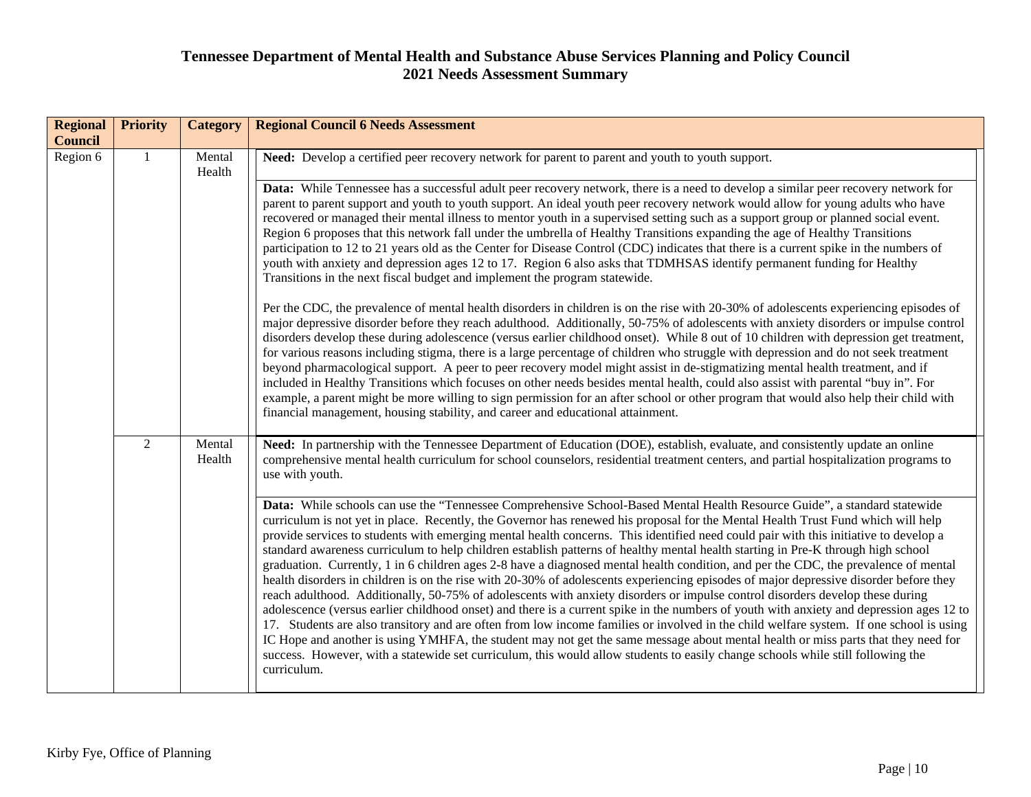| <b>Regional</b><br><b>Council</b> | <b>Priority</b> | <b>Category</b>  | <b>Regional Council 6 Needs Assessment</b>                                                                                                                                                                                                                                                                                                                                                                                                                                                                                                                                                                                                                                                                                                                                                                                                                                                                                                                                                                                                                                                                                                                                                                                                                                                                                                                                                                                                                                                                                               |                                                                                                                                                                                                                                                                                                                                                                                                                                                                                                                                                                                                                                                                                                                                                                                                                                                                                              |
|-----------------------------------|-----------------|------------------|------------------------------------------------------------------------------------------------------------------------------------------------------------------------------------------------------------------------------------------------------------------------------------------------------------------------------------------------------------------------------------------------------------------------------------------------------------------------------------------------------------------------------------------------------------------------------------------------------------------------------------------------------------------------------------------------------------------------------------------------------------------------------------------------------------------------------------------------------------------------------------------------------------------------------------------------------------------------------------------------------------------------------------------------------------------------------------------------------------------------------------------------------------------------------------------------------------------------------------------------------------------------------------------------------------------------------------------------------------------------------------------------------------------------------------------------------------------------------------------------------------------------------------------|----------------------------------------------------------------------------------------------------------------------------------------------------------------------------------------------------------------------------------------------------------------------------------------------------------------------------------------------------------------------------------------------------------------------------------------------------------------------------------------------------------------------------------------------------------------------------------------------------------------------------------------------------------------------------------------------------------------------------------------------------------------------------------------------------------------------------------------------------------------------------------------------|
| Region 6                          | $\mathbf{1}$    | Mental<br>Health | Need: Develop a certified peer recovery network for parent to parent and youth to youth support.                                                                                                                                                                                                                                                                                                                                                                                                                                                                                                                                                                                                                                                                                                                                                                                                                                                                                                                                                                                                                                                                                                                                                                                                                                                                                                                                                                                                                                         |                                                                                                                                                                                                                                                                                                                                                                                                                                                                                                                                                                                                                                                                                                                                                                                                                                                                                              |
|                                   |                 |                  |                                                                                                                                                                                                                                                                                                                                                                                                                                                                                                                                                                                                                                                                                                                                                                                                                                                                                                                                                                                                                                                                                                                                                                                                                                                                                                                                                                                                                                                                                                                                          | Data: While Tennessee has a successful adult peer recovery network, there is a need to develop a similar peer recovery network for<br>parent to parent support and youth to youth support. An ideal youth peer recovery network would allow for young adults who have<br>recovered or managed their mental illness to mentor youth in a supervised setting such as a support group or planned social event.<br>Region 6 proposes that this network fall under the umbrella of Healthy Transitions expanding the age of Healthy Transitions<br>participation to 12 to 21 years old as the Center for Disease Control (CDC) indicates that there is a current spike in the numbers of<br>youth with anxiety and depression ages 12 to 17. Region 6 also asks that TDMHSAS identify permanent funding for Healthy<br>Transitions in the next fiscal budget and implement the program statewide. |
|                                   |                 |                  | Per the CDC, the prevalence of mental health disorders in children is on the rise with 20-30% of adolescents experiencing episodes of<br>major depressive disorder before they reach adulthood. Additionally, 50-75% of adolescents with anxiety disorders or impulse control<br>disorders develop these during adolescence (versus earlier childhood onset). While 8 out of 10 children with depression get treatment,<br>for various reasons including stigma, there is a large percentage of children who struggle with depression and do not seek treatment<br>beyond pharmacological support. A peer to peer recovery model might assist in de-stigmatizing mental health treatment, and if<br>included in Healthy Transitions which focuses on other needs besides mental health, could also assist with parental "buy in". For<br>example, a parent might be more willing to sign permission for an after school or other program that would also help their child with<br>financial management, housing stability, and career and educational attainment.                                                                                                                                                                                                                                                                                                                                                                                                                                                                        |                                                                                                                                                                                                                                                                                                                                                                                                                                                                                                                                                                                                                                                                                                                                                                                                                                                                                              |
|                                   | $\overline{2}$  | Mental<br>Health | Need: In partnership with the Tennessee Department of Education (DOE), establish, evaluate, and consistently update an online<br>comprehensive mental health curriculum for school counselors, residential treatment centers, and partial hospitalization programs to<br>use with youth.                                                                                                                                                                                                                                                                                                                                                                                                                                                                                                                                                                                                                                                                                                                                                                                                                                                                                                                                                                                                                                                                                                                                                                                                                                                 |                                                                                                                                                                                                                                                                                                                                                                                                                                                                                                                                                                                                                                                                                                                                                                                                                                                                                              |
|                                   |                 |                  | Data: While schools can use the "Tennessee Comprehensive School-Based Mental Health Resource Guide", a standard statewide<br>curriculum is not yet in place. Recently, the Governor has renewed his proposal for the Mental Health Trust Fund which will help<br>provide services to students with emerging mental health concerns. This identified need could pair with this initiative to develop a<br>standard awareness curriculum to help children establish patterns of healthy mental health starting in Pre-K through high school<br>graduation. Currently, 1 in 6 children ages 2-8 have a diagnosed mental health condition, and per the CDC, the prevalence of mental<br>health disorders in children is on the rise with 20-30% of adolescents experiencing episodes of major depressive disorder before they<br>reach adulthood. Additionally, 50-75% of adolescents with anxiety disorders or impulse control disorders develop these during<br>adolescence (versus earlier childhood onset) and there is a current spike in the numbers of youth with anxiety and depression ages 12 to<br>17. Students are also transitory and are often from low income families or involved in the child welfare system. If one school is using<br>IC Hope and another is using YMHFA, the student may not get the same message about mental health or miss parts that they need for<br>success. However, with a statewide set curriculum, this would allow students to easily change schools while still following the<br>curriculum. |                                                                                                                                                                                                                                                                                                                                                                                                                                                                                                                                                                                                                                                                                                                                                                                                                                                                                              |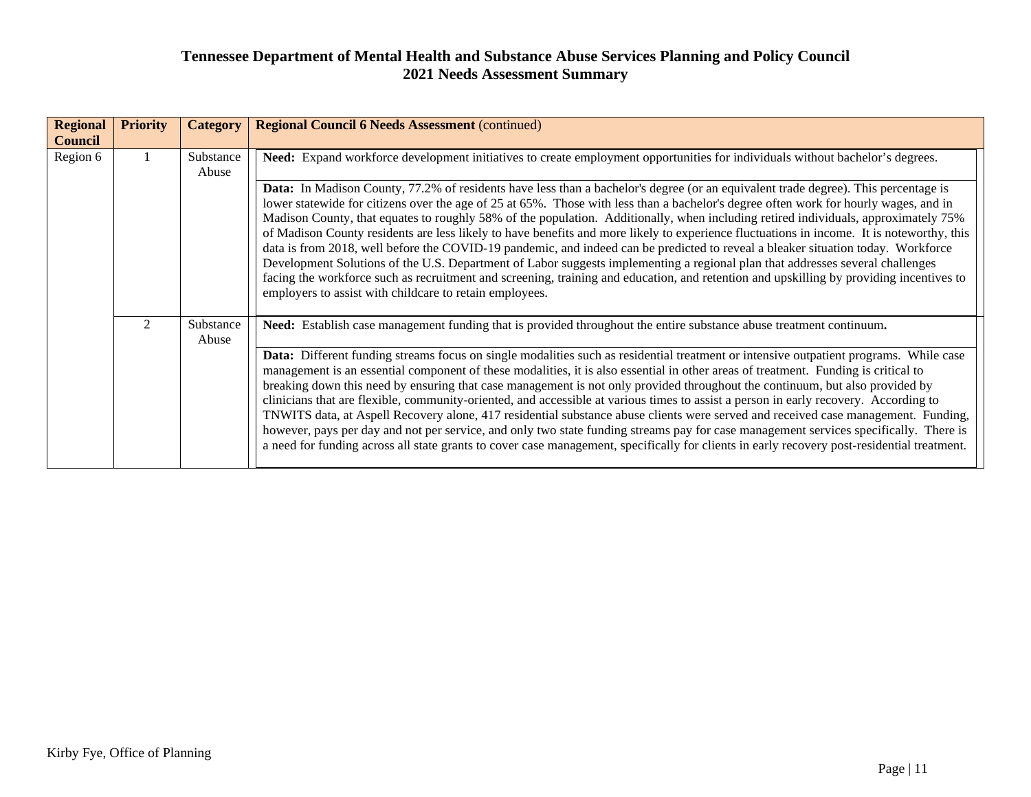| <b>Regional</b><br><b>Council</b> | <b>Priority</b> | <b>Category</b>    | <b>Regional Council 6 Needs Assessment (continued)</b>                                                                                                                                                                                                                                                                                                                                                                                                                                                                                                                                                                                                                                                                                                                                                                                                                                                                                                                                                                                                                                                  |
|-----------------------------------|-----------------|--------------------|---------------------------------------------------------------------------------------------------------------------------------------------------------------------------------------------------------------------------------------------------------------------------------------------------------------------------------------------------------------------------------------------------------------------------------------------------------------------------------------------------------------------------------------------------------------------------------------------------------------------------------------------------------------------------------------------------------------------------------------------------------------------------------------------------------------------------------------------------------------------------------------------------------------------------------------------------------------------------------------------------------------------------------------------------------------------------------------------------------|
| Region 6                          |                 | Substance<br>Abuse | Need: Expand workforce development initiatives to create employment opportunities for individuals without bachelor's degrees.<br>Data: In Madison County, 77.2% of residents have less than a bachelor's degree (or an equivalent trade degree). This percentage is<br>lower statewide for citizens over the age of 25 at 65%. Those with less than a bachelor's degree often work for hourly wages, and in                                                                                                                                                                                                                                                                                                                                                                                                                                                                                                                                                                                                                                                                                             |
|                                   |                 |                    | Madison County, that equates to roughly 58% of the population. Additionally, when including retired individuals, approximately 75%<br>of Madison County residents are less likely to have benefits and more likely to experience fluctuations in income. It is noteworthy, this<br>data is from 2018, well before the COVID-19 pandemic, and indeed can be predicted to reveal a bleaker situation today. Workforce<br>Development Solutions of the U.S. Department of Labor suggests implementing a regional plan that addresses several challenges<br>facing the workforce such as recruitment and screening, training and education, and retention and upskilling by providing incentives to<br>employers to assist with childcare to retain employees.                                                                                                                                                                                                                                                                                                                                              |
|                                   | $\mathfrak{D}$  | Substance<br>Abuse | Need: Establish case management funding that is provided throughout the entire substance abuse treatment continuum.<br>Data: Different funding streams focus on single modalities such as residential treatment or intensive outpatient programs. While case<br>management is an essential component of these modalities, it is also essential in other areas of treatment. Funding is critical to<br>breaking down this need by ensuring that case management is not only provided throughout the continuum, but also provided by<br>clinicians that are flexible, community-oriented, and accessible at various times to assist a person in early recovery. According to<br>TNWITS data, at Aspell Recovery alone, 417 residential substance abuse clients were served and received case management. Funding,<br>however, pays per day and not per service, and only two state funding streams pay for case management services specifically. There is<br>a need for funding across all state grants to cover case management, specifically for clients in early recovery post-residential treatment. |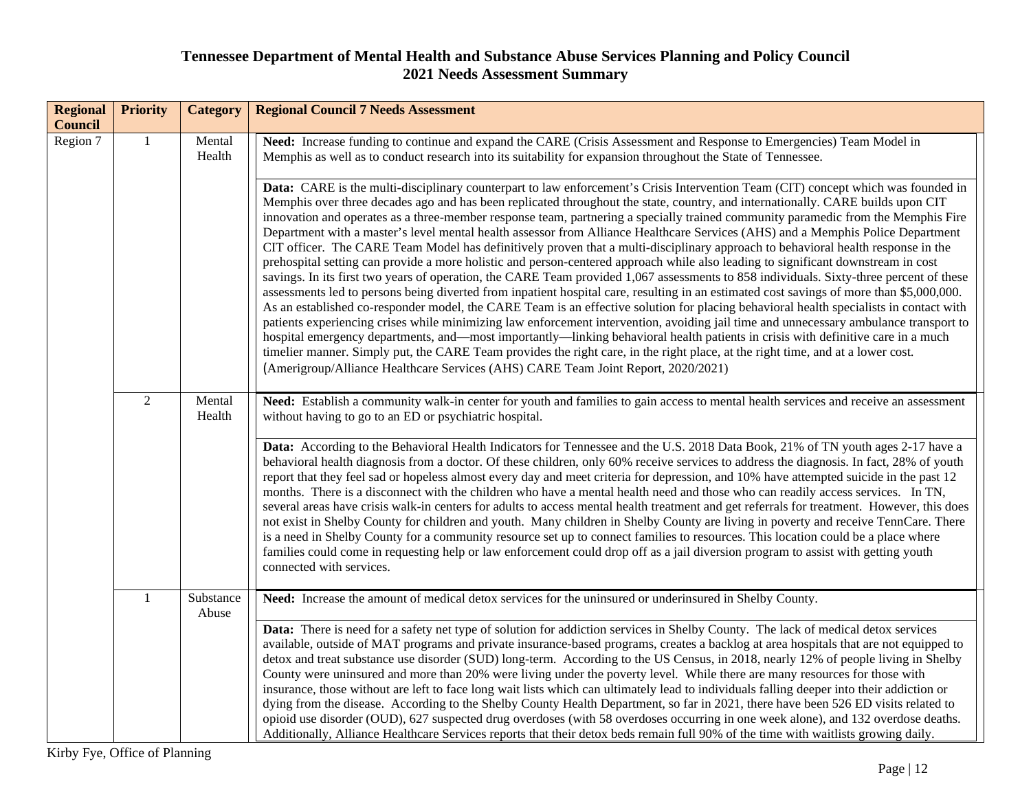| <b>Regional</b><br><b>Council</b> | <b>Priority</b> | <b>Category</b>    | <b>Regional Council 7 Needs Assessment</b>                                                                                                                                                                                                                                                                                                                                                                                                                                                                                                                                                                                                                                                                                                                                                                                                                                                                                                                                                                                                                                                                                                                                                                                                                                                                                                                                                                                                                                                                                                                                                                                                                                                                                                                  |
|-----------------------------------|-----------------|--------------------|-------------------------------------------------------------------------------------------------------------------------------------------------------------------------------------------------------------------------------------------------------------------------------------------------------------------------------------------------------------------------------------------------------------------------------------------------------------------------------------------------------------------------------------------------------------------------------------------------------------------------------------------------------------------------------------------------------------------------------------------------------------------------------------------------------------------------------------------------------------------------------------------------------------------------------------------------------------------------------------------------------------------------------------------------------------------------------------------------------------------------------------------------------------------------------------------------------------------------------------------------------------------------------------------------------------------------------------------------------------------------------------------------------------------------------------------------------------------------------------------------------------------------------------------------------------------------------------------------------------------------------------------------------------------------------------------------------------------------------------------------------------|
| Region 7                          | $\mathbf{1}$    | Mental<br>Health   | Need: Increase funding to continue and expand the CARE (Crisis Assessment and Response to Emergencies) Team Model in<br>Memphis as well as to conduct research into its suitability for expansion throughout the State of Tennessee.                                                                                                                                                                                                                                                                                                                                                                                                                                                                                                                                                                                                                                                                                                                                                                                                                                                                                                                                                                                                                                                                                                                                                                                                                                                                                                                                                                                                                                                                                                                        |
|                                   |                 |                    | Data: CARE is the multi-disciplinary counterpart to law enforcement's Crisis Intervention Team (CIT) concept which was founded in<br>Memphis over three decades ago and has been replicated throughout the state, country, and internationally. CARE builds upon CIT<br>innovation and operates as a three-member response team, partnering a specially trained community paramedic from the Memphis Fire<br>Department with a master's level mental health assessor from Alliance Healthcare Services (AHS) and a Memphis Police Department<br>CIT officer. The CARE Team Model has definitively proven that a multi-disciplinary approach to behavioral health response in the<br>prehospital setting can provide a more holistic and person-centered approach while also leading to significant downstream in cost<br>savings. In its first two years of operation, the CARE Team provided 1,067 assessments to 858 individuals. Sixty-three percent of these<br>assessments led to persons being diverted from inpatient hospital care, resulting in an estimated cost savings of more than \$5,000,000.<br>As an established co-responder model, the CARE Team is an effective solution for placing behavioral health specialists in contact with<br>patients experiencing crises while minimizing law enforcement intervention, avoiding jail time and unnecessary ambulance transport to<br>hospital emergency departments, and—most importantly—linking behavioral health patients in crisis with definitive care in a much<br>timelier manner. Simply put, the CARE Team provides the right care, in the right place, at the right time, and at a lower cost.<br>(Amerigroup/Alliance Healthcare Services (AHS) CARE Team Joint Report, 2020/2021) |
|                                   | $\overline{2}$  | Mental<br>Health   | Need: Establish a community walk-in center for youth and families to gain access to mental health services and receive an assessment<br>without having to go to an ED or psychiatric hospital.<br>Data: According to the Behavioral Health Indicators for Tennessee and the U.S. 2018 Data Book, 21% of TN youth ages 2-17 have a<br>behavioral health diagnosis from a doctor. Of these children, only 60% receive services to address the diagnosis. In fact, 28% of youth<br>report that they feel sad or hopeless almost every day and meet criteria for depression, and 10% have attempted suicide in the past 12<br>months. There is a disconnect with the children who have a mental health need and those who can readily access services. In TN,<br>several areas have crisis walk-in centers for adults to access mental health treatment and get referrals for treatment. However, this does<br>not exist in Shelby County for children and youth. Many children in Shelby County are living in poverty and receive TennCare. There<br>is a need in Shelby County for a community resource set up to connect families to resources. This location could be a place where<br>families could come in requesting help or law enforcement could drop off as a jail diversion program to assist with getting youth<br>connected with services.                                                                                                                                                                                                                                                                                                                                                                                                        |
|                                   | $\mathbf{1}$    | Substance<br>Abuse | Need: Increase the amount of medical detox services for the uninsured or underinsured in Shelby County.<br>Data: There is need for a safety net type of solution for addiction services in Shelby County. The lack of medical detox services<br>available, outside of MAT programs and private insurance-based programs, creates a backlog at area hospitals that are not equipped to<br>detox and treat substance use disorder (SUD) long-term. According to the US Census, in 2018, nearly 12% of people living in Shelby<br>County were uninsured and more than 20% were living under the poverty level. While there are many resources for those with<br>insurance, those without are left to face long wait lists which can ultimately lead to individuals falling deeper into their addiction or<br>dying from the disease. According to the Shelby County Health Department, so far in 2021, there have been 526 ED visits related to<br>opioid use disorder (OUD), 627 suspected drug overdoses (with 58 overdoses occurring in one week alone), and 132 overdose deaths.<br>Additionally, Alliance Healthcare Services reports that their detox beds remain full 90% of the time with waitlists growing daily.                                                                                                                                                                                                                                                                                                                                                                                                                                                                                                                                     |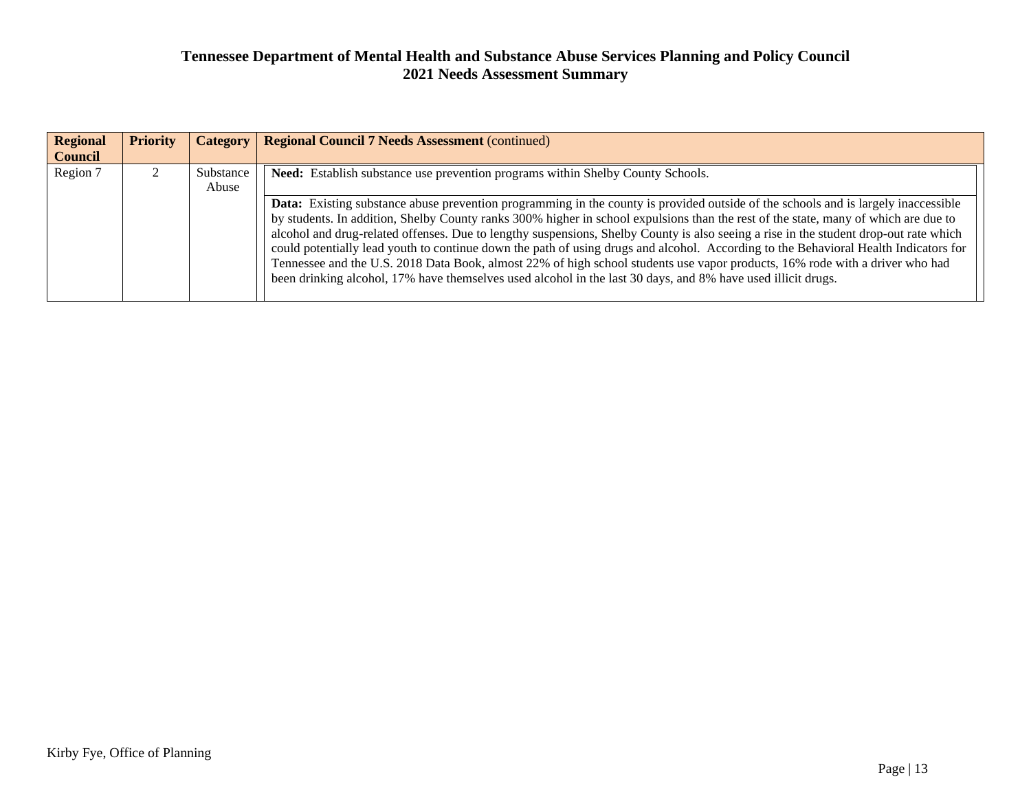| <b>Regional</b><br><b>Council</b> | <b>Priority</b> | Category           | <b>Regional Council 7 Needs Assessment (continued)</b>                                                                                                                                                                                                                                                                                                                                                                                                                                                                                                                                                                                                                                                                                                                                                            |
|-----------------------------------|-----------------|--------------------|-------------------------------------------------------------------------------------------------------------------------------------------------------------------------------------------------------------------------------------------------------------------------------------------------------------------------------------------------------------------------------------------------------------------------------------------------------------------------------------------------------------------------------------------------------------------------------------------------------------------------------------------------------------------------------------------------------------------------------------------------------------------------------------------------------------------|
| Region 7                          |                 | Substance<br>Abuse | Need: Establish substance use prevention programs within Shelby County Schools.                                                                                                                                                                                                                                                                                                                                                                                                                                                                                                                                                                                                                                                                                                                                   |
|                                   |                 |                    | <b>Data:</b> Existing substance abuse prevention programming in the county is provided outside of the schools and is largely inaccessible<br>by students. In addition, Shelby County ranks 300% higher in school expulsions than the rest of the state, many of which are due to<br>alcohol and drug-related offenses. Due to lengthy suspensions, Shelby County is also seeing a rise in the student drop-out rate which<br>could potentially lead youth to continue down the path of using drugs and alcohol. According to the Behavioral Health Indicators for<br>Tennessee and the U.S. 2018 Data Book, almost 22% of high school students use vapor products, 16% rode with a driver who had<br>been drinking alcohol, 17% have themselves used alcohol in the last 30 days, and 8% have used illicit drugs. |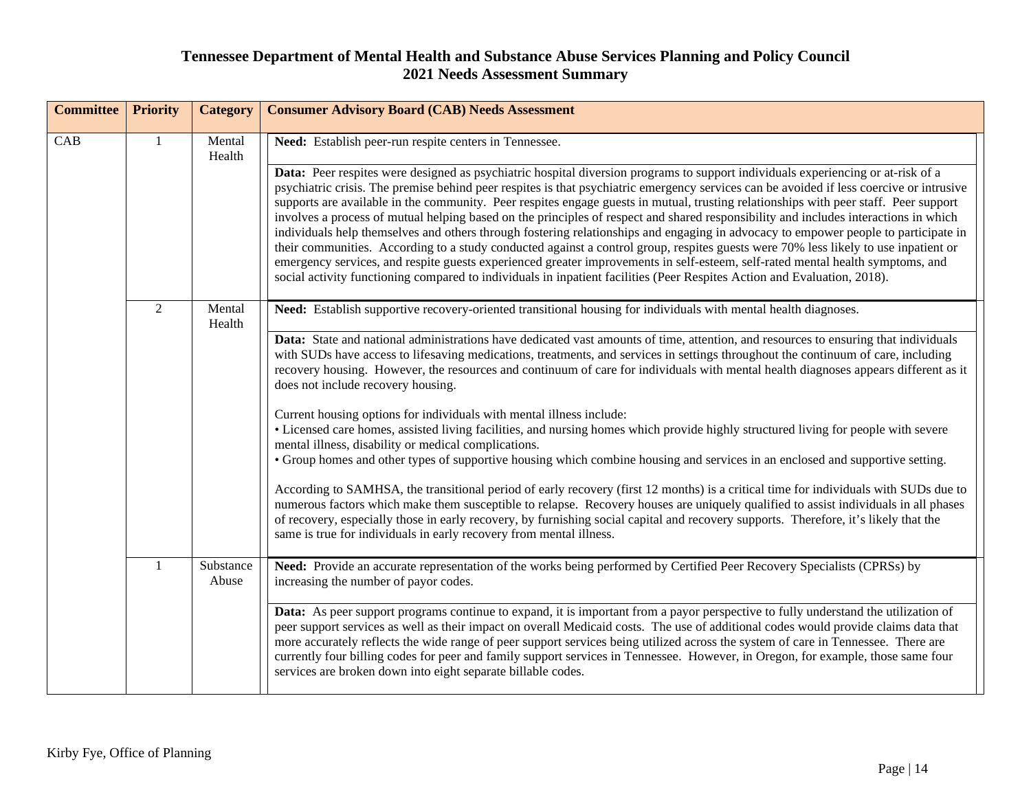| <b>Committee</b> | <b>Priority</b> | <b>Category</b>    | <b>Consumer Advisory Board (CAB) Needs Assessment</b>                                                                                                                                                                                                                                                                                                                                                                                                                                                                                                                                                                                                                                                                                                                                                                                                                                                                                                                                                                                                                                                    |
|------------------|-----------------|--------------------|----------------------------------------------------------------------------------------------------------------------------------------------------------------------------------------------------------------------------------------------------------------------------------------------------------------------------------------------------------------------------------------------------------------------------------------------------------------------------------------------------------------------------------------------------------------------------------------------------------------------------------------------------------------------------------------------------------------------------------------------------------------------------------------------------------------------------------------------------------------------------------------------------------------------------------------------------------------------------------------------------------------------------------------------------------------------------------------------------------|
| CAB              | -1              | Mental<br>Health   | Need: Establish peer-run respite centers in Tennessee.                                                                                                                                                                                                                                                                                                                                                                                                                                                                                                                                                                                                                                                                                                                                                                                                                                                                                                                                                                                                                                                   |
|                  |                 |                    | Data: Peer respites were designed as psychiatric hospital diversion programs to support individuals experiencing or at-risk of a<br>psychiatric crisis. The premise behind peer respites is that psychiatric emergency services can be avoided if less coercive or intrusive<br>supports are available in the community. Peer respites engage guests in mutual, trusting relationships with peer staff. Peer support<br>involves a process of mutual helping based on the principles of respect and shared responsibility and includes interactions in which<br>individuals help themselves and others through fostering relationships and engaging in advocacy to empower people to participate in<br>their communities. According to a study conducted against a control group, respites guests were 70% less likely to use inpatient or<br>emergency services, and respite guests experienced greater improvements in self-esteem, self-rated mental health symptoms, and<br>social activity functioning compared to individuals in inpatient facilities (Peer Respites Action and Evaluation, 2018). |
|                  | 2               | Mental<br>Health   | Need: Establish supportive recovery-oriented transitional housing for individuals with mental health diagnoses.                                                                                                                                                                                                                                                                                                                                                                                                                                                                                                                                                                                                                                                                                                                                                                                                                                                                                                                                                                                          |
|                  |                 |                    | Data: State and national administrations have dedicated vast amounts of time, attention, and resources to ensuring that individuals<br>with SUDs have access to lifesaving medications, treatments, and services in settings throughout the continuum of care, including<br>recovery housing. However, the resources and continuum of care for individuals with mental health diagnoses appears different as it<br>does not include recovery housing.                                                                                                                                                                                                                                                                                                                                                                                                                                                                                                                                                                                                                                                    |
|                  |                 |                    | Current housing options for individuals with mental illness include:<br>• Licensed care homes, assisted living facilities, and nursing homes which provide highly structured living for people with severe<br>mental illness, disability or medical complications.<br>• Group homes and other types of supportive housing which combine housing and services in an enclosed and supportive setting.                                                                                                                                                                                                                                                                                                                                                                                                                                                                                                                                                                                                                                                                                                      |
|                  |                 |                    | According to SAMHSA, the transitional period of early recovery (first 12 months) is a critical time for individuals with SUDs due to<br>numerous factors which make them susceptible to relapse. Recovery houses are uniquely qualified to assist individuals in all phases<br>of recovery, especially those in early recovery, by furnishing social capital and recovery supports. Therefore, it's likely that the<br>same is true for individuals in early recovery from mental illness.                                                                                                                                                                                                                                                                                                                                                                                                                                                                                                                                                                                                               |
|                  | 1               | Substance<br>Abuse | Need: Provide an accurate representation of the works being performed by Certified Peer Recovery Specialists (CPRSs) by<br>increasing the number of payor codes.                                                                                                                                                                                                                                                                                                                                                                                                                                                                                                                                                                                                                                                                                                                                                                                                                                                                                                                                         |
|                  |                 |                    | Data: As peer support programs continue to expand, it is important from a payor perspective to fully understand the utilization of<br>peer support services as well as their impact on overall Medicaid costs. The use of additional codes would provide claims data that<br>more accurately reflects the wide range of peer support services being utilized across the system of care in Tennessee. There are<br>currently four billing codes for peer and family support services in Tennessee. However, in Oregon, for example, those same four<br>services are broken down into eight separate billable codes.                                                                                                                                                                                                                                                                                                                                                                                                                                                                                       |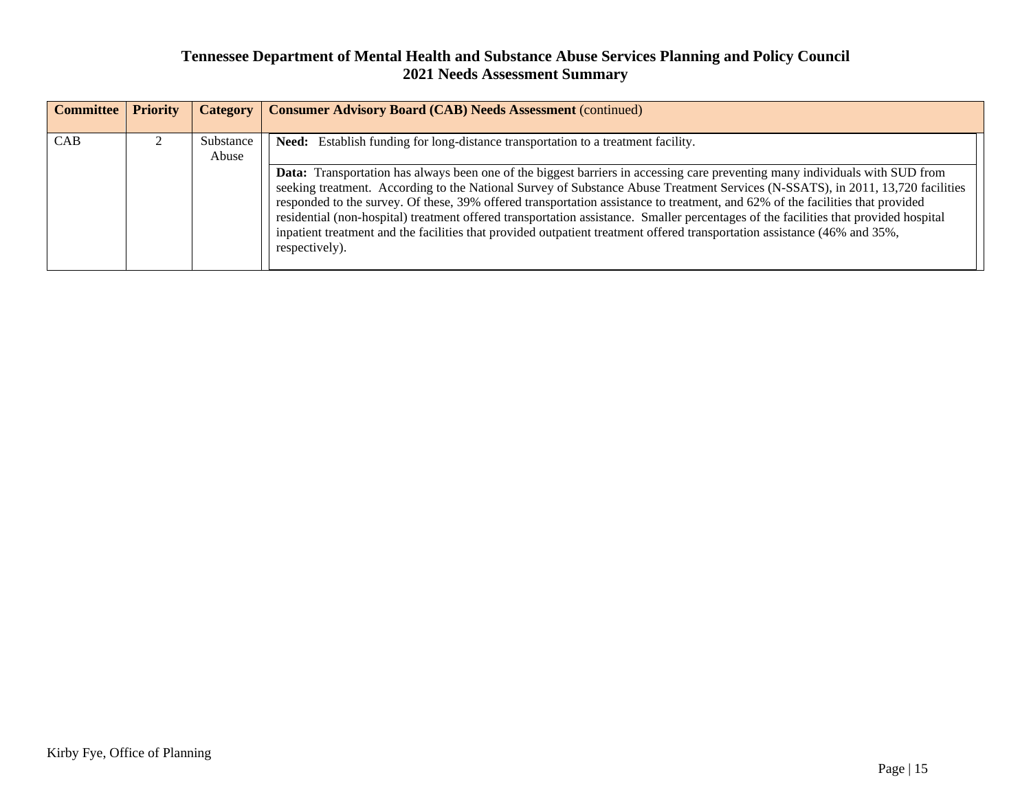| <b>Committee</b> | <b>Priority</b> | <b>Category</b>    | <b>Consumer Advisory Board (CAB) Needs Assessment (continued)</b>                                                                                                                                                                                                                                                                                                                                                                                                                                                                                                                                                                                                                        |
|------------------|-----------------|--------------------|------------------------------------------------------------------------------------------------------------------------------------------------------------------------------------------------------------------------------------------------------------------------------------------------------------------------------------------------------------------------------------------------------------------------------------------------------------------------------------------------------------------------------------------------------------------------------------------------------------------------------------------------------------------------------------------|
| CAB              |                 | Substance<br>Abuse | <b>Need:</b> Establish funding for long-distance transportation to a treatment facility.                                                                                                                                                                                                                                                                                                                                                                                                                                                                                                                                                                                                 |
|                  |                 |                    | Data: Transportation has always been one of the biggest barriers in accessing care preventing many individuals with SUD from<br>seeking treatment. According to the National Survey of Substance Abuse Treatment Services (N-SSATS), in 2011, 13,720 facilities<br>responded to the survey. Of these, 39% offered transportation assistance to treatment, and 62% of the facilities that provided<br>residential (non-hospital) treatment offered transportation assistance. Smaller percentages of the facilities that provided hospital<br>inpatient treatment and the facilities that provided outpatient treatment offered transportation assistance (46% and 35%,<br>respectively). |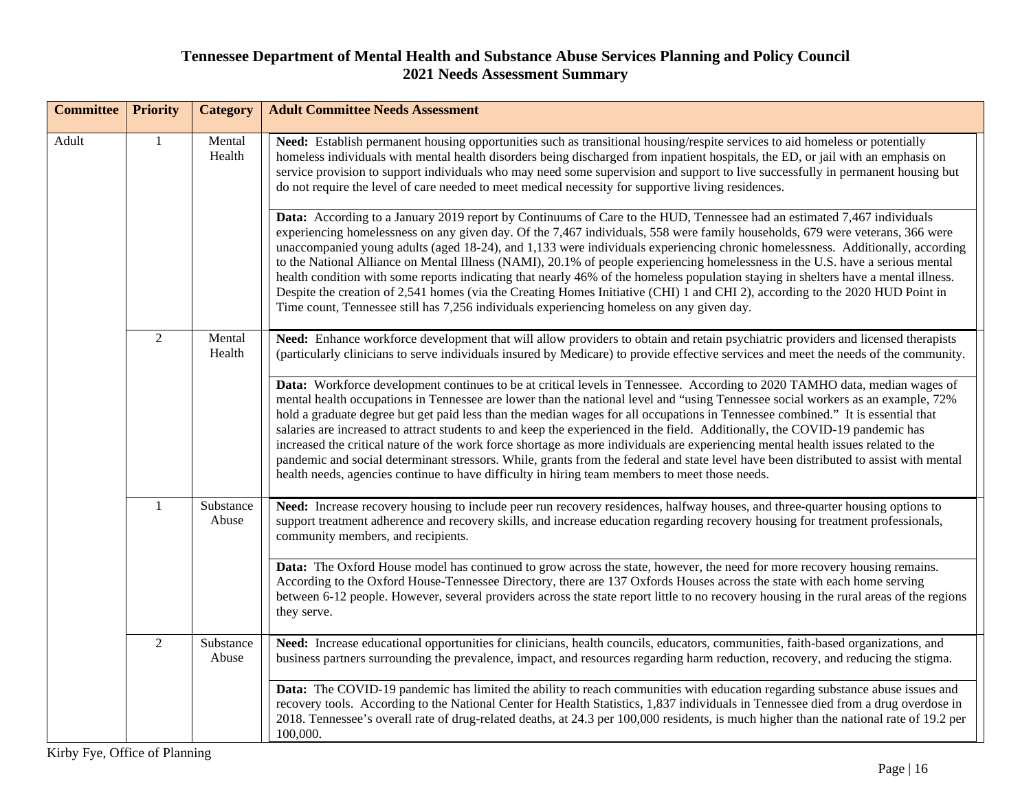| <b>Committee</b> | <b>Priority</b> | <b>Category</b>    | <b>Adult Committee Needs Assessment</b>                                                                                                                                                                                                                                                                                                                                                                                                                                                                                                                                                                                                                                                                                                                                                                                                                                                                          |
|------------------|-----------------|--------------------|------------------------------------------------------------------------------------------------------------------------------------------------------------------------------------------------------------------------------------------------------------------------------------------------------------------------------------------------------------------------------------------------------------------------------------------------------------------------------------------------------------------------------------------------------------------------------------------------------------------------------------------------------------------------------------------------------------------------------------------------------------------------------------------------------------------------------------------------------------------------------------------------------------------|
| Adult            | $\mathbf{1}$    | Mental<br>Health   | Need: Establish permanent housing opportunities such as transitional housing/respite services to aid homeless or potentially<br>homeless individuals with mental health disorders being discharged from inpatient hospitals, the ED, or jail with an emphasis on<br>service provision to support individuals who may need some supervision and support to live successfully in permanent housing but<br>do not require the level of care needed to meet medical necessity for supportive living residences.                                                                                                                                                                                                                                                                                                                                                                                                      |
|                  |                 |                    | Data: According to a January 2019 report by Continuums of Care to the HUD, Tennessee had an estimated 7,467 individuals<br>experiencing homelessness on any given day. Of the 7,467 individuals, 558 were family households, 679 were veterans, 366 were<br>unaccompanied young adults (aged 18-24), and 1,133 were individuals experiencing chronic homelessness. Additionally, according<br>to the National Alliance on Mental Illness (NAMI), 20.1% of people experiencing homelessness in the U.S. have a serious mental<br>health condition with some reports indicating that nearly 46% of the homeless population staying in shelters have a mental illness.<br>Despite the creation of 2,541 homes (via the Creating Homes Initiative (CHI) 1 and CHI 2), according to the 2020 HUD Point in<br>Time count, Tennessee still has 7,256 individuals experiencing homeless on any given day.                |
|                  | 2               | Mental<br>Health   | Need: Enhance workforce development that will allow providers to obtain and retain psychiatric providers and licensed therapists<br>(particularly clinicians to serve individuals insured by Medicare) to provide effective services and meet the needs of the community.                                                                                                                                                                                                                                                                                                                                                                                                                                                                                                                                                                                                                                        |
|                  |                 |                    | Data: Workforce development continues to be at critical levels in Tennessee. According to 2020 TAMHO data, median wages of<br>mental health occupations in Tennessee are lower than the national level and "using Tennessee social workers as an example, 72%<br>hold a graduate degree but get paid less than the median wages for all occupations in Tennessee combined." It is essential that<br>salaries are increased to attract students to and keep the experienced in the field. Additionally, the COVID-19 pandemic has<br>increased the critical nature of the work force shortage as more individuals are experiencing mental health issues related to the<br>pandemic and social determinant stressors. While, grants from the federal and state level have been distributed to assist with mental<br>health needs, agencies continue to have difficulty in hiring team members to meet those needs. |
|                  | -1              | Substance<br>Abuse | Need: Increase recovery housing to include peer run recovery residences, halfway houses, and three-quarter housing options to<br>support treatment adherence and recovery skills, and increase education regarding recovery housing for treatment professionals,<br>community members, and recipients.                                                                                                                                                                                                                                                                                                                                                                                                                                                                                                                                                                                                           |
|                  |                 |                    | Data: The Oxford House model has continued to grow across the state, however, the need for more recovery housing remains.<br>According to the Oxford House-Tennessee Directory, there are 137 Oxfords Houses across the state with each home serving<br>between 6-12 people. However, several providers across the state report little to no recovery housing in the rural areas of the regions<br>they serve.                                                                                                                                                                                                                                                                                                                                                                                                                                                                                                   |
|                  | $\overline{2}$  | Substance<br>Abuse | Need: Increase educational opportunities for clinicians, health councils, educators, communities, faith-based organizations, and<br>business partners surrounding the prevalence, impact, and resources regarding harm reduction, recovery, and reducing the stigma.                                                                                                                                                                                                                                                                                                                                                                                                                                                                                                                                                                                                                                             |
|                  |                 |                    | Data: The COVID-19 pandemic has limited the ability to reach communities with education regarding substance abuse issues and<br>recovery tools. According to the National Center for Health Statistics, 1,837 individuals in Tennessee died from a drug overdose in<br>2018. Tennessee's overall rate of drug-related deaths, at 24.3 per 100,000 residents, is much higher than the national rate of 19.2 per<br>100,000.                                                                                                                                                                                                                                                                                                                                                                                                                                                                                       |